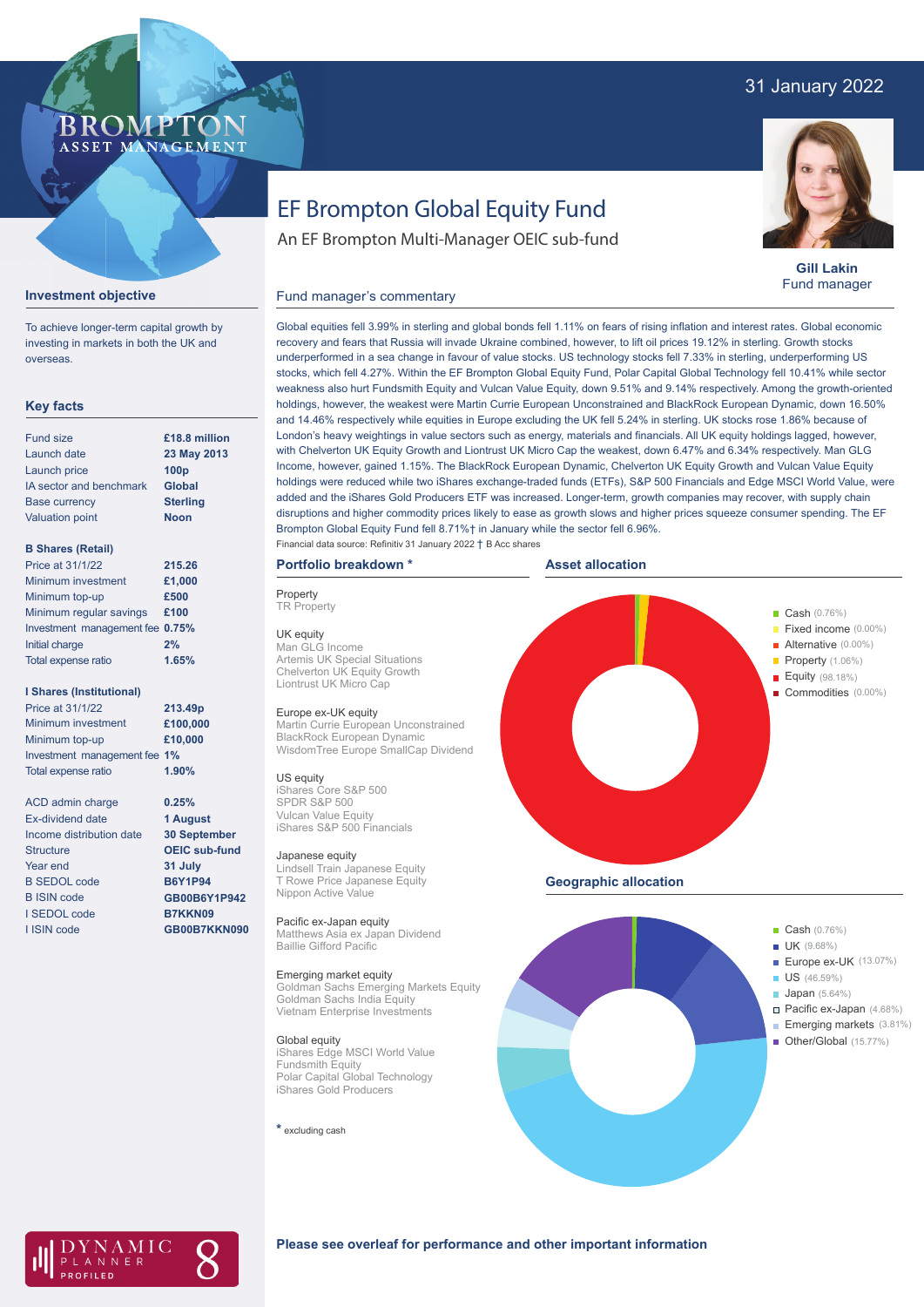## 31 January 2022



# EF Brompton Global Equity Fund

An EF Brompton Multi-Manager OEIC sub-fund

Global equities fell 3.99% in sterling and global bonds fell 1.11% on fears of rising inflation and interest rates. Global economic recovery and fears that Russia will invade Ukraine combined, however, to lift oil prices 19.12% in sterling. Growth stocks underperformed in a sea change in favour of value stocks. US technology stocks fell 7.33% in sterling, underperforming US stocks, which fell 4.27%. Within the EF Brompton Global Equity Fund, Polar Capital Global Technology fell 10.41% while sector weakness also hurt Fundsmith Equity and Vulcan Value Equity, down 9.51% and 9.14% respectively. Among the growth-oriented holdings, however, the weakest were Martin Currie European Unconstrained and BlackRock European Dynamic, down 16.50% and 14.46% respectively while equities in Europe excluding the UK fell 5.24% in sterling. UK stocks rose 1.86% because of London's heavy weightings in value sectors such as energy, materials and financials. All UK equity holdings lagged, however,



**Gill Lakin** Fund manager

#### **Investment objective**

To achieve longer-term capital growth by investing in markets in both the UK and overseas.

#### **Key facts**

| Fund size               | £18.8 million    |
|-------------------------|------------------|
| Launch date             | 23 May 2013      |
| Launch price            | 100 <sub>p</sub> |
| IA sector and benchmark | <b>Global</b>    |
| <b>Base currency</b>    | <b>Sterling</b>  |
| <b>Valuation point</b>  | <b>Noon</b>      |
|                         |                  |

#### **B Shares (Retail)**

| 215.26                          |
|---------------------------------|
| £1,000                          |
| £500                            |
| £100                            |
| Investment management fee 0.75% |
| 2%                              |
| 1.65%                           |
|                                 |

#### **I Shares (Institutional)**

Minimum investment Minimum top-up Investment management fee **1%** Total expense ratio **£100,000 £10,000** Price at 31/1/22 **213.49p 1.90%**

> **0.25% 1 August 30 September OEIC sub-fund 31 July B6Y1P94 GB00B6Y1P942 B7KKN09 GB00B7KKN090**

ACD admin charge Ex-dividend date Income distribution date Structure Year end B SEDOL code B ISIN code I SEDOL code I ISIN code

with Chelverton UK Equity Growth and Liontrust UK Micro Cap the weakest, down 6.47% and 6.34% respectively. Man GLG Income, however, gained 1.15%. The BlackRock European Dynamic, Chelverton UK Equity Growth and Vulcan Value Equity holdings were reduced while two iShares exchange-traded funds (ETFs), S&P 500 Financials and Edge MSCI World Value, were added and the iShares Gold Producers ETF was increased. Longer-term, growth companies may recover, with supply chain disruptions and higher commodity prices likely to ease as growth slows and higher prices squeeze consumer spending. The EF **Portfolio breakdown \***

# **Property**

Fund manager's commentary

**TR** Property

UK equity Man GLG Income Artemis UK Special Situations Chelverton UK Equity Growth Liontrust UK Micro Cap

#### Europe ex-UK equity

Martin Currie European Unconstrained BlackRock European Dynamic WisdomTree Europe SmallCap Dividend

#### US equity

iShares Core S&P 500 SPDR S&P 500 Vulcan Value Equity iShares S&P 500 Financials

#### Japanese equity

Lindsell Train Japanese Equity T Rowe Price Japanese Equity Nippon Active Value

#### Pacific ex-Japan equity

Matthews Asia ex Japan Dividend Baillie Gifford Pacific

#### Emerging market equity

Goldman Sachs Emerging Markets Equity Goldman Sachs India Equity Vietnam Enterprise Investments

#### Global equity

iShares Edge MSCI World Value Fundsmith Equity Polar Capital Global Technology iShares Gold Producers

**\*** excluding cash







#### **Please see overleaf for performance and other important information**